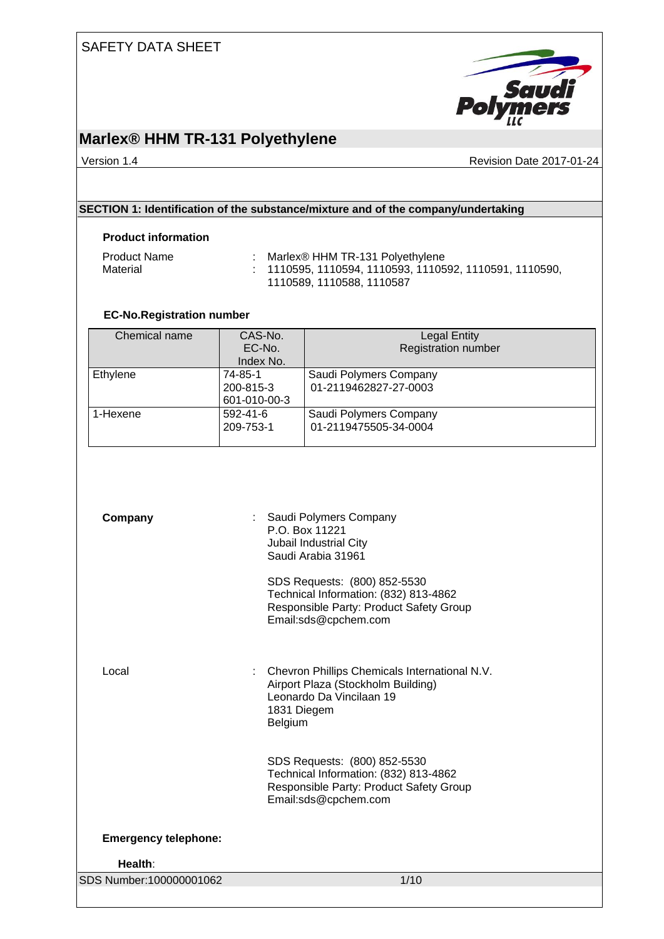

### **Marlex® HHM TR-131 Polyethylene**

Version 1.4 **Version 1.4** Revision Date 2017-01-24

### **SECTION 1: Identification of the substance/mixture and of the company/undertaking**

#### **Product information**

| <b>Product Name</b> | Marlex <sup>®</sup> HHM TR-131 Polyethylene                        |
|---------------------|--------------------------------------------------------------------|
| Material            | $\therefore$ 1110595, 1110594, 1110593, 1110592, 1110591, 1110590, |
|                     | 1110589, 1110588, 1110587                                          |

#### **EC-No.Registration number**

| Chemical name | CAS-No.<br>EC-No.                    | <b>Legal Entity</b><br><b>Registration number</b> |
|---------------|--------------------------------------|---------------------------------------------------|
|               | Index No.                            |                                                   |
| Ethylene      | 74-85-1<br>200-815-3<br>601-010-00-3 | Saudi Polymers Company<br>01-2119462827-27-0003   |
| 1-Hexene      | 592-41-6<br>209-753-1                | Saudi Polymers Company<br>01-2119475505-34-0004   |

| Company                     | : Saudi Polymers Company<br>P O Box 11221<br>Jubail Industrial City<br>Saudi Arabia 31961                                                 |
|-----------------------------|-------------------------------------------------------------------------------------------------------------------------------------------|
|                             | SDS Requests: (800) 852-5530<br>Technical Information: (832) 813-4862<br>Responsible Party: Product Safety Group<br>Email:sds@cpchem.com  |
| Local                       | Chevron Phillips Chemicals International N.V.<br>Airport Plaza (Stockholm Building)<br>Leonardo Da Vincilaan 19<br>1831 Diegem<br>Belgium |
|                             | SDS Requests: (800) 852-5530<br>Technical Information: (832) 813-4862<br>Responsible Party: Product Safety Group<br>Email:sds@cpchem.com  |
| <b>Emergency telephone:</b> |                                                                                                                                           |
| Health:                     |                                                                                                                                           |
| SDS Number:100000001062     | 1/10                                                                                                                                      |
|                             |                                                                                                                                           |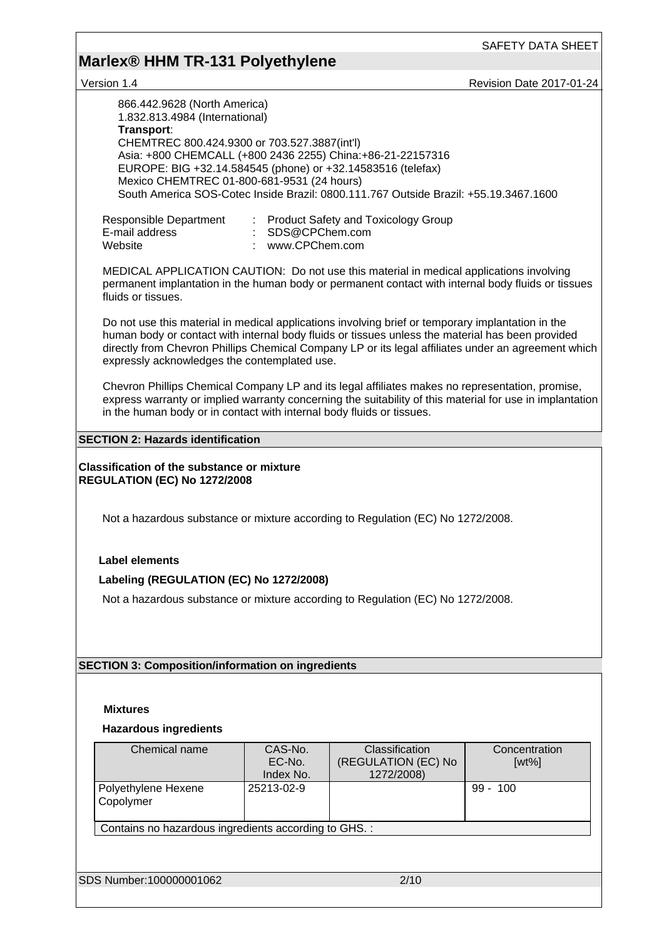# **Marlex® HHM TR-131 Polyethylene**

version 1.4 Revision Date 2017-01-24

| 866.442.9628 (North America)<br>1.832.813.4984 (International)<br>Transport:<br>CHEMTREC 800.424.9300 or 703.527.3887(int'l)<br>Asia: +800 CHEMCALL (+800 2436 2255) China: +86-21-22157316<br>EUROPE: BIG +32.14.584545 (phone) or +32.14583516 (telefax)<br>Mexico CHEMTREC 01-800-681-9531 (24 hours)                                                     |                                    | South America SOS-Cotec Inside Brazil: 0800.111.767 Outside Brazil: +55.19.3467.1600 |                           |
|--------------------------------------------------------------------------------------------------------------------------------------------------------------------------------------------------------------------------------------------------------------------------------------------------------------------------------------------------------------|------------------------------------|--------------------------------------------------------------------------------------|---------------------------|
| Responsible Department<br>E-mail address<br>Website                                                                                                                                                                                                                                                                                                          | SDS@CPChem.com<br>: www.CPChem.com | <b>Product Safety and Toxicology Group</b>                                           |                           |
| MEDICAL APPLICATION CAUTION: Do not use this material in medical applications involving<br>permanent implantation in the human body or permanent contact with internal body fluids or tissues<br>fluids or tissues.                                                                                                                                          |                                    |                                                                                      |                           |
| Do not use this material in medical applications involving brief or temporary implantation in the<br>human body or contact with internal body fluids or tissues unless the material has been provided<br>directly from Chevron Phillips Chemical Company LP or its legal affiliates under an agreement which<br>expressly acknowledges the contemplated use. |                                    |                                                                                      |                           |
| Chevron Phillips Chemical Company LP and its legal affiliates makes no representation, promise,<br>express warranty or implied warranty concerning the suitability of this material for use in implantation<br>in the human body or in contact with internal body fluids or tissues.                                                                         |                                    |                                                                                      |                           |
| <b>SECTION 2: Hazards identification</b>                                                                                                                                                                                                                                                                                                                     |                                    |                                                                                      |                           |
| <b>Classification of the substance or mixture</b><br><b>REGULATION (EC) No 1272/2008</b>                                                                                                                                                                                                                                                                     |                                    |                                                                                      |                           |
| Not a hazardous substance or mixture according to Regulation (EC) No 1272/2008.                                                                                                                                                                                                                                                                              |                                    |                                                                                      |                           |
| <b>Label elements</b>                                                                                                                                                                                                                                                                                                                                        |                                    |                                                                                      |                           |
|                                                                                                                                                                                                                                                                                                                                                              |                                    |                                                                                      |                           |
| Labeling (REGULATION (EC) No 1272/2008)                                                                                                                                                                                                                                                                                                                      |                                    |                                                                                      |                           |
| Not a hazardous substance or mixture according to Regulation (EC) No 1272/2008.                                                                                                                                                                                                                                                                              |                                    |                                                                                      |                           |
|                                                                                                                                                                                                                                                                                                                                                              |                                    |                                                                                      |                           |
|                                                                                                                                                                                                                                                                                                                                                              |                                    |                                                                                      |                           |
|                                                                                                                                                                                                                                                                                                                                                              |                                    |                                                                                      |                           |
| <b>SECTION 3: Composition/information on ingredients</b>                                                                                                                                                                                                                                                                                                     |                                    |                                                                                      |                           |
|                                                                                                                                                                                                                                                                                                                                                              |                                    |                                                                                      |                           |
|                                                                                                                                                                                                                                                                                                                                                              |                                    |                                                                                      |                           |
| <b>Mixtures</b>                                                                                                                                                                                                                                                                                                                                              |                                    |                                                                                      |                           |
| <b>Hazardous ingredients</b>                                                                                                                                                                                                                                                                                                                                 |                                    |                                                                                      |                           |
| Chemical name                                                                                                                                                                                                                                                                                                                                                | CAS-No.<br>EC-No.<br>Index No.     | Classification<br>(REGULATION (EC) No<br>1272/2008)                                  | Concentration<br>$[wt\%]$ |
| Polyethylene Hexene<br>Copolymer                                                                                                                                                                                                                                                                                                                             | 25213-02-9                         |                                                                                      | $99 - 100$                |
| Contains no hazardous ingredients according to GHS. :                                                                                                                                                                                                                                                                                                        |                                    |                                                                                      |                           |
|                                                                                                                                                                                                                                                                                                                                                              |                                    |                                                                                      |                           |
|                                                                                                                                                                                                                                                                                                                                                              |                                    |                                                                                      |                           |
| SDS Number:100000001062                                                                                                                                                                                                                                                                                                                                      |                                    | 2/10                                                                                 |                           |
|                                                                                                                                                                                                                                                                                                                                                              |                                    |                                                                                      |                           |
|                                                                                                                                                                                                                                                                                                                                                              |                                    |                                                                                      |                           |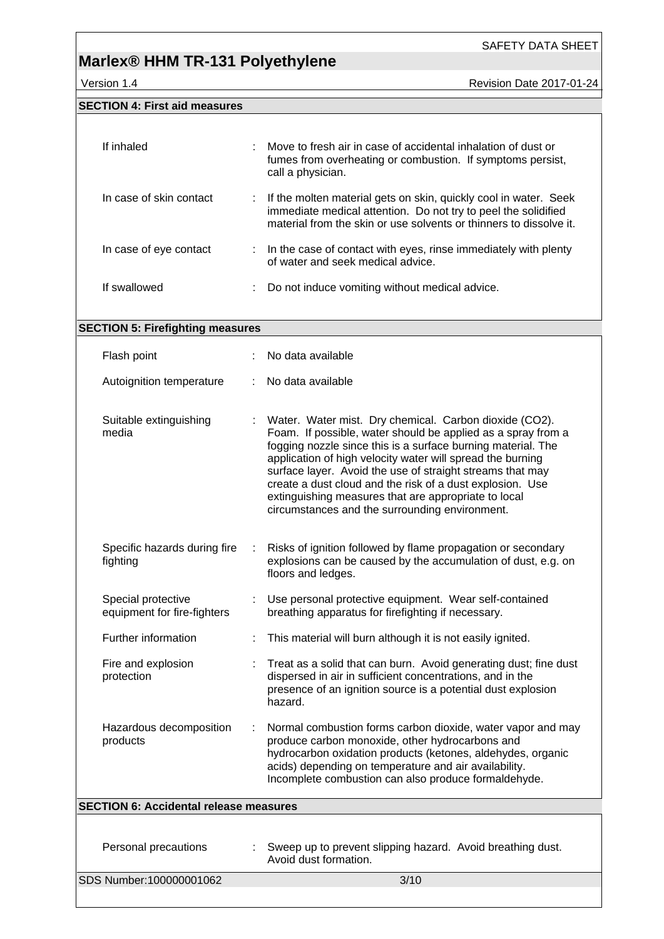## **Marlex® HHM TR-131 Polyethylene**

**SECTION 4: First aid measures**

Version 1.4 **Version 1.4** Revision Date 2017-01-24

| If inhaled              | Move to fresh air in case of accidental inhalation of dust or<br>fumes from overheating or combustion. If symptoms persist,<br>call a physician.                                                           |
|-------------------------|------------------------------------------------------------------------------------------------------------------------------------------------------------------------------------------------------------|
| In case of skin contact | : If the molten material gets on skin, quickly cool in water. Seek<br>immediate medical attention. Do not try to peel the solidified<br>material from the skin or use solvents or thinners to dissolve it. |
| In case of eye contact  | : In the case of contact with eyes, rinse immediately with plenty<br>of water and seek medical advice.                                                                                                     |
| If swallowed            | Do not induce vomiting without medical advice.                                                                                                                                                             |

| <b>SECTION 5: Firefighting measures</b>           |                                                                                                                                                                                                                                                                                                                                                                                                                                                                                          |
|---------------------------------------------------|------------------------------------------------------------------------------------------------------------------------------------------------------------------------------------------------------------------------------------------------------------------------------------------------------------------------------------------------------------------------------------------------------------------------------------------------------------------------------------------|
| Flash point                                       | No data available                                                                                                                                                                                                                                                                                                                                                                                                                                                                        |
| Autoignition temperature                          | No data available                                                                                                                                                                                                                                                                                                                                                                                                                                                                        |
| Suitable extinguishing<br>media                   | Water. Water mist. Dry chemical. Carbon dioxide (CO2).<br>Foam. If possible, water should be applied as a spray from a<br>fogging nozzle since this is a surface burning material. The<br>application of high velocity water will spread the burning<br>surface layer. Avoid the use of straight streams that may<br>create a dust cloud and the risk of a dust explosion. Use<br>extinguishing measures that are appropriate to local<br>circumstances and the surrounding environment. |
| Specific hazards during fire<br>fighting          | Risks of ignition followed by flame propagation or secondary<br>explosions can be caused by the accumulation of dust, e.g. on<br>floors and ledges.                                                                                                                                                                                                                                                                                                                                      |
| Special protective<br>equipment for fire-fighters | Use personal protective equipment. Wear self-contained<br>breathing apparatus for firefighting if necessary.                                                                                                                                                                                                                                                                                                                                                                             |
| Further information                               | This material will burn although it is not easily ignited.                                                                                                                                                                                                                                                                                                                                                                                                                               |
| Fire and explosion<br>protection                  | Treat as a solid that can burn. Avoid generating dust; fine dust<br>dispersed in air in sufficient concentrations, and in the<br>presence of an ignition source is a potential dust explosion<br>hazard.                                                                                                                                                                                                                                                                                 |
| Hazardous decomposition<br>products               | Normal combustion forms carbon dioxide, water vapor and may<br>produce carbon monoxide, other hydrocarbons and<br>hydrocarbon oxidation products (ketones, aldehydes, organic<br>acids) depending on temperature and air availability.<br>Incomplete combustion can also produce formaldehyde.                                                                                                                                                                                           |
| <b>SECTION 6: Accidental release measures</b>     |                                                                                                                                                                                                                                                                                                                                                                                                                                                                                          |
|                                                   |                                                                                                                                                                                                                                                                                                                                                                                                                                                                                          |
| Personal precautions                              | Sweep up to prevent slipping hazard. Avoid breathing dust.                                                                                                                                                                                                                                                                                                                                                                                                                               |

Avoid dust formation.

SDS Number:100000001062 3/10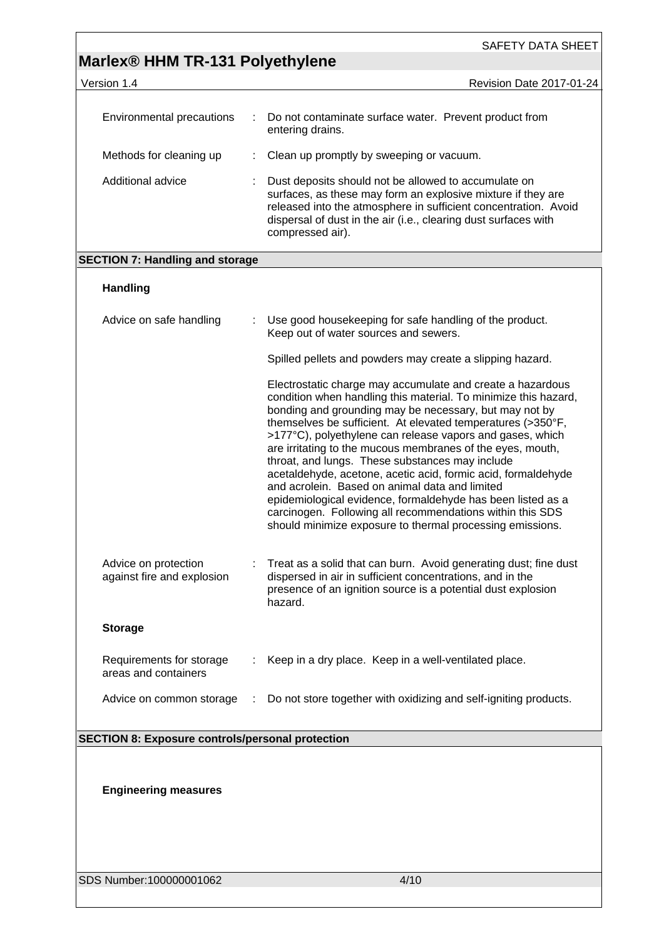|                                                         |   | SAFETY DATA SHEET                                                                                                                                                                                                                                                                                                                                                                                                                                                                                                                                                                                                                                                                                                                                |
|---------------------------------------------------------|---|--------------------------------------------------------------------------------------------------------------------------------------------------------------------------------------------------------------------------------------------------------------------------------------------------------------------------------------------------------------------------------------------------------------------------------------------------------------------------------------------------------------------------------------------------------------------------------------------------------------------------------------------------------------------------------------------------------------------------------------------------|
| Marlex <sup>®</sup> HHM TR-131 Polyethylene             |   |                                                                                                                                                                                                                                                                                                                                                                                                                                                                                                                                                                                                                                                                                                                                                  |
| Version 1.4                                             |   | Revision Date 2017-01-24                                                                                                                                                                                                                                                                                                                                                                                                                                                                                                                                                                                                                                                                                                                         |
| Environmental precautions                               | ÷ | Do not contaminate surface water. Prevent product from<br>entering drains.                                                                                                                                                                                                                                                                                                                                                                                                                                                                                                                                                                                                                                                                       |
| Methods for cleaning up                                 | ÷ | Clean up promptly by sweeping or vacuum.                                                                                                                                                                                                                                                                                                                                                                                                                                                                                                                                                                                                                                                                                                         |
| Additional advice                                       |   | Dust deposits should not be allowed to accumulate on<br>surfaces, as these may form an explosive mixture if they are<br>released into the atmosphere in sufficient concentration. Avoid<br>dispersal of dust in the air (i.e., clearing dust surfaces with<br>compressed air).                                                                                                                                                                                                                                                                                                                                                                                                                                                                   |
| <b>SECTION 7: Handling and storage</b>                  |   |                                                                                                                                                                                                                                                                                                                                                                                                                                                                                                                                                                                                                                                                                                                                                  |
| <b>Handling</b>                                         |   |                                                                                                                                                                                                                                                                                                                                                                                                                                                                                                                                                                                                                                                                                                                                                  |
| Advice on safe handling                                 |   | Use good housekeeping for safe handling of the product.<br>Keep out of water sources and sewers.                                                                                                                                                                                                                                                                                                                                                                                                                                                                                                                                                                                                                                                 |
|                                                         |   | Spilled pellets and powders may create a slipping hazard.                                                                                                                                                                                                                                                                                                                                                                                                                                                                                                                                                                                                                                                                                        |
|                                                         |   | Electrostatic charge may accumulate and create a hazardous<br>condition when handling this material. To minimize this hazard,<br>bonding and grounding may be necessary, but may not by<br>themselves be sufficient. At elevated temperatures (>350°F,<br>>177°C), polyethylene can release vapors and gases, which<br>are irritating to the mucous membranes of the eyes, mouth,<br>throat, and lungs. These substances may include<br>acetaldehyde, acetone, acetic acid, formic acid, formaldehyde<br>and acrolein. Based on animal data and limited<br>epidemiological evidence, formaldehyde has been listed as a<br>carcinogen. Following all recommendations within this SDS<br>should minimize exposure to thermal processing emissions. |
| Advice on protection<br>against fire and explosion      |   | Treat as a solid that can burn. Avoid generating dust; fine dust<br>dispersed in air in sufficient concentrations, and in the<br>presence of an ignition source is a potential dust explosion<br>hazard.                                                                                                                                                                                                                                                                                                                                                                                                                                                                                                                                         |
| <b>Storage</b>                                          |   |                                                                                                                                                                                                                                                                                                                                                                                                                                                                                                                                                                                                                                                                                                                                                  |
| Requirements for storage<br>areas and containers        |   | Keep in a dry place. Keep in a well-ventilated place.                                                                                                                                                                                                                                                                                                                                                                                                                                                                                                                                                                                                                                                                                            |
| Advice on common storage                                | ÷ | Do not store together with oxidizing and self-igniting products.                                                                                                                                                                                                                                                                                                                                                                                                                                                                                                                                                                                                                                                                                 |
| <b>SECTION 8: Exposure controls/personal protection</b> |   |                                                                                                                                                                                                                                                                                                                                                                                                                                                                                                                                                                                                                                                                                                                                                  |
|                                                         |   |                                                                                                                                                                                                                                                                                                                                                                                                                                                                                                                                                                                                                                                                                                                                                  |
| <b>Engineering measures</b>                             |   |                                                                                                                                                                                                                                                                                                                                                                                                                                                                                                                                                                                                                                                                                                                                                  |

SDS Number:100000001062 4/10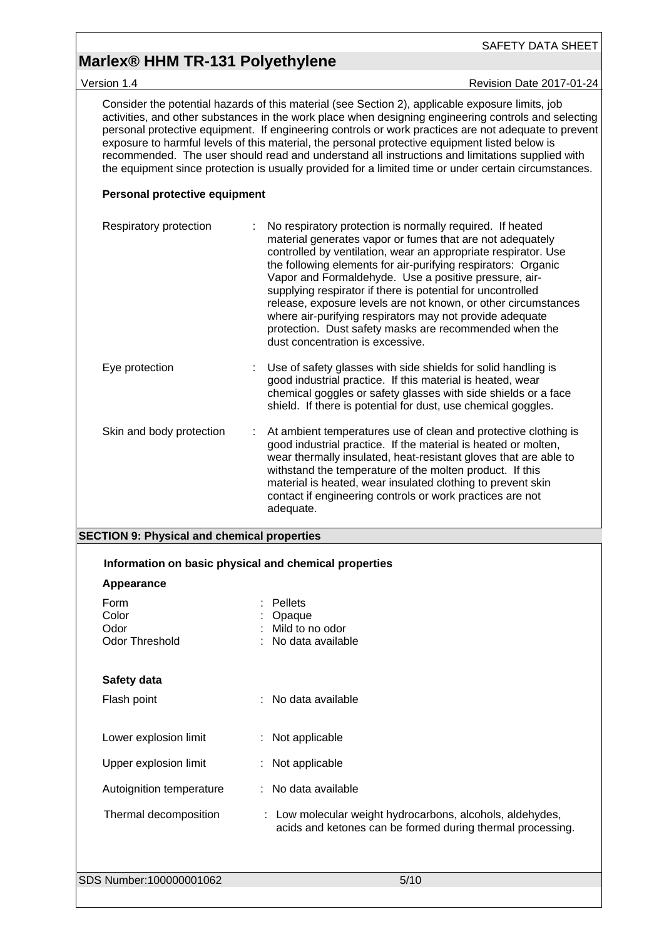### **Marlex® HHM TR-131 Polyethylene**

Version 1.4 **Version 1.4** Revision Date 2017-01-24

Consider the potential hazards of this material (see Section 2), applicable exposure limits, job activities, and other substances in the work place when designing engineering controls and selecting personal protective equipment. If engineering controls or work practices are not adequate to prevent exposure to harmful levels of this material, the personal protective equipment listed below is recommended. The user should read and understand all instructions and limitations supplied with the equipment since protection is usually provided for a limited time or under certain circumstances.

#### **Personal protective equipment**

| Respiratory protection   | No respiratory protection is normally required. If heated<br>material generates vapor or fumes that are not adequately<br>controlled by ventilation, wear an appropriate respirator. Use<br>the following elements for air-purifying respirators: Organic<br>Vapor and Formaldehyde. Use a positive pressure, air-<br>supplying respirator if there is potential for uncontrolled<br>release, exposure levels are not known, or other circumstances<br>where air-purifying respirators may not provide adequate<br>protection. Dust safety masks are recommended when the<br>dust concentration is excessive. |
|--------------------------|---------------------------------------------------------------------------------------------------------------------------------------------------------------------------------------------------------------------------------------------------------------------------------------------------------------------------------------------------------------------------------------------------------------------------------------------------------------------------------------------------------------------------------------------------------------------------------------------------------------|
| Eye protection           | Use of safety glasses with side shields for solid handling is<br>good industrial practice. If this material is heated, wear<br>chemical goggles or safety glasses with side shields or a face<br>shield. If there is potential for dust, use chemical goggles.                                                                                                                                                                                                                                                                                                                                                |
| Skin and body protection | At ambient temperatures use of clean and protective clothing is<br>good industrial practice. If the material is heated or molten,<br>wear thermally insulated, heat-resistant gloves that are able to<br>withstand the temperature of the molten product. If this<br>material is heated, wear insulated clothing to prevent skin<br>contact if engineering controls or work practices are not<br>adequate.                                                                                                                                                                                                    |

#### **SECTION 9: Physical and chemical properties**

| Information on basic physical and chemical properties |                                                                                                                         |
|-------------------------------------------------------|-------------------------------------------------------------------------------------------------------------------------|
| Appearance                                            |                                                                                                                         |
| Form<br>Color<br>Odor<br>Odor Threshold               | <b>Pellets</b><br>Opaque<br>Mild to no odor<br>No data available                                                        |
| Safety data<br>Flash point                            | : No data available                                                                                                     |
| Lower explosion limit                                 | : Not applicable                                                                                                        |
| Upper explosion limit                                 | : Not applicable                                                                                                        |
| Autoignition temperature                              | : No data available                                                                                                     |
| Thermal decomposition                                 | : Low molecular weight hydrocarbons, alcohols, aldehydes,<br>acids and ketones can be formed during thermal processing. |
| SDS Number:100000001062                               | 5/10                                                                                                                    |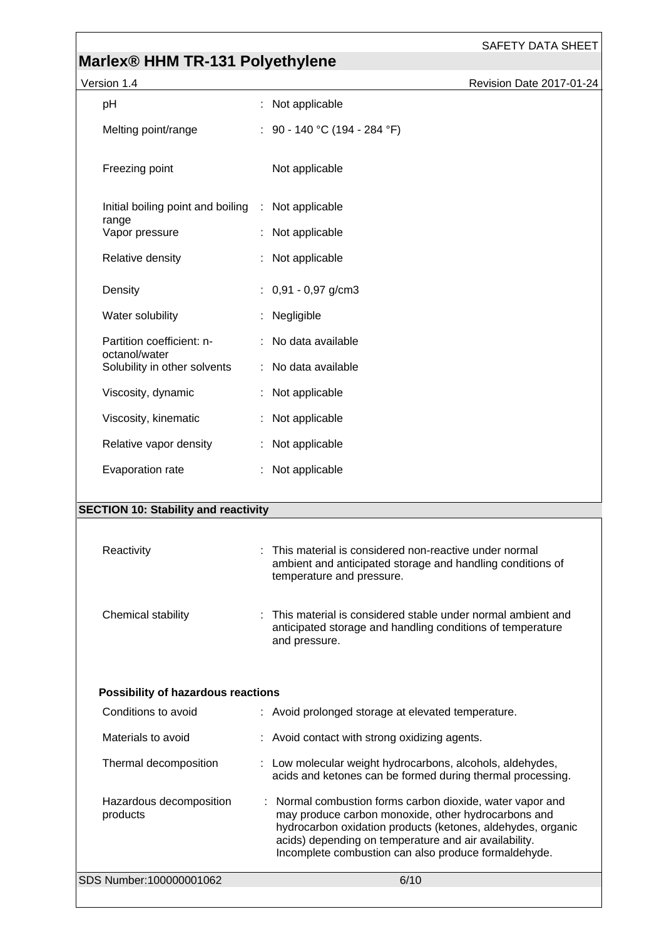# **Marlex® HHM TR-131 Polyethylene**

| Version 1.4                                                 |                                                       | Revision Date 2017-01-24 |
|-------------------------------------------------------------|-------------------------------------------------------|--------------------------|
| pH                                                          | : Not applicable                                      |                          |
| Melting point/range                                         | : 90 - 140 °C (194 - 284 °F)                          |                          |
| Freezing point                                              | Not applicable                                        |                          |
| Initial boiling point and boiling : Not applicable<br>range |                                                       |                          |
| Vapor pressure                                              | : Not applicable                                      |                          |
| Relative density                                            | : Not applicable                                      |                          |
| Density                                                     | $: 0.91 - 0.97$ g/cm3                                 |                          |
| Water solubility                                            | : Negligible                                          |                          |
| Partition coefficient: n-                                   | : No data available                                   |                          |
| octanol/water<br>Solubility in other solvents               | : No data available                                   |                          |
| Viscosity, dynamic                                          | : Not applicable                                      |                          |
| Viscosity, kinematic                                        | : Not applicable                                      |                          |
| Relative vapor density                                      | : Not applicable                                      |                          |
| Evaporation rate                                            | : Not applicable                                      |                          |
|                                                             |                                                       |                          |
| <b>SECTION 10: Stability and reactivity</b>                 |                                                       |                          |
| Resetivity                                                  | This material is considered non-reactive under normal |                          |

| Reactivitv | : This material is considered non-reactive under normal<br>ambient and anticipated storage and handling conditions of<br>temperature and pressure. |
|------------|----------------------------------------------------------------------------------------------------------------------------------------------------|
|            |                                                                                                                                                    |

| anticipated storage and handling conditions of temperature<br>and pressure. |
|-----------------------------------------------------------------------------|
|-----------------------------------------------------------------------------|

### **Possibility of hazardous reactions**

|          | SDS Number:100000001062 | 6/10                                                                                                                                                                                                                                                                                             |
|----------|-------------------------|--------------------------------------------------------------------------------------------------------------------------------------------------------------------------------------------------------------------------------------------------------------------------------------------------|
| products | Hazardous decomposition | : Normal combustion forms carbon dioxide, water vapor and<br>may produce carbon monoxide, other hydrocarbons and<br>hydrocarbon oxidation products (ketones, aldehydes, organic<br>acids) depending on temperature and air availability.<br>Incomplete combustion can also produce formaldehyde. |
|          | Thermal decomposition   | : Low molecular weight hydrocarbons, alcohols, aldehydes,<br>acids and ketones can be formed during thermal processing.                                                                                                                                                                          |
|          | Materials to avoid      | : Avoid contact with strong oxidizing agents.                                                                                                                                                                                                                                                    |
|          | Conditions to avoid     | : Avoid prolonged storage at elevated temperature.                                                                                                                                                                                                                                               |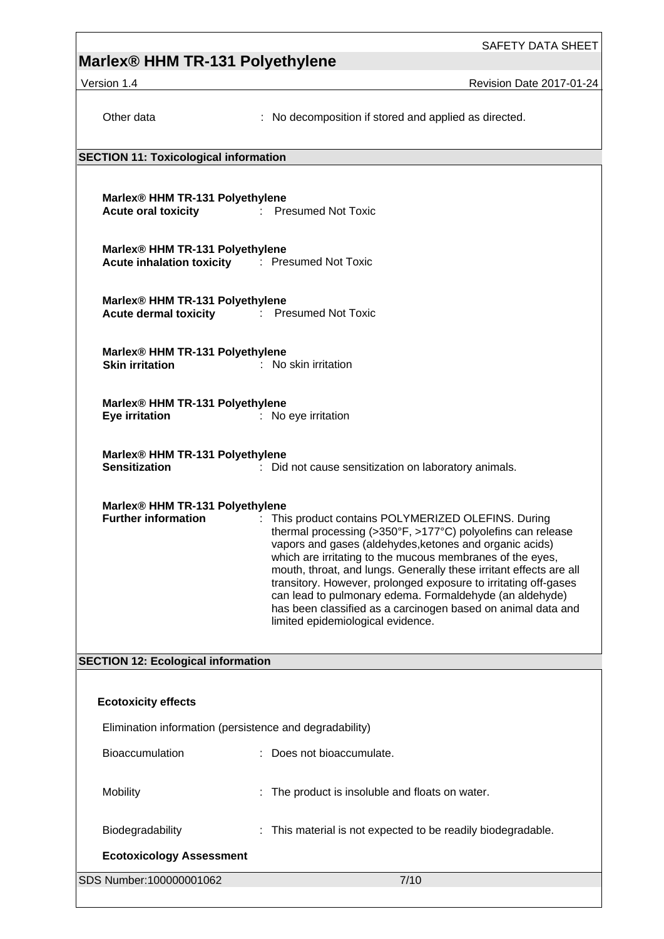# **Marlex® HHM TR-131 Polyethylene**

Version 1.4 Revision Date 2017-01-24

| Other data                                                                                             | : No decomposition if stored and applied as directed.                                                                                                                                                                                                                                                                                                                                                                                                                                                                                               |  |  |  |  |  |
|--------------------------------------------------------------------------------------------------------|-----------------------------------------------------------------------------------------------------------------------------------------------------------------------------------------------------------------------------------------------------------------------------------------------------------------------------------------------------------------------------------------------------------------------------------------------------------------------------------------------------------------------------------------------------|--|--|--|--|--|
|                                                                                                        | <b>SECTION 11: Toxicological information</b>                                                                                                                                                                                                                                                                                                                                                                                                                                                                                                        |  |  |  |  |  |
| Marlex® HHM TR-131 Polyethylene<br>Acute oral toxicity <b>Exercise Exercise 2</b> : Presumed Not Toxic |                                                                                                                                                                                                                                                                                                                                                                                                                                                                                                                                                     |  |  |  |  |  |
| Marlex® HHM TR-131 Polyethylene<br>Acute inhalation toxicity : Presumed Not Toxic                      |                                                                                                                                                                                                                                                                                                                                                                                                                                                                                                                                                     |  |  |  |  |  |
| Marlex® HHM TR-131 Polyethylene<br><b>Acute dermal toxicity</b> : Presumed Not Toxic                   |                                                                                                                                                                                                                                                                                                                                                                                                                                                                                                                                                     |  |  |  |  |  |
| Marlex® HHM TR-131 Polyethylene<br><b>Skin irritation</b>                                              | : No skin irritation                                                                                                                                                                                                                                                                                                                                                                                                                                                                                                                                |  |  |  |  |  |
| Marlex® HHM TR-131 Polyethylene<br><b>Eye irritation</b>                                               | : No eye irritation                                                                                                                                                                                                                                                                                                                                                                                                                                                                                                                                 |  |  |  |  |  |
| Marlex® HHM TR-131 Polyethylene<br><b>Sensitization</b>                                                | : Did not cause sensitization on laboratory animals.                                                                                                                                                                                                                                                                                                                                                                                                                                                                                                |  |  |  |  |  |
| Marlex® HHM TR-131 Polyethylene<br><b>Further information</b>                                          | : This product contains POLYMERIZED OLEFINS. During<br>thermal processing (>350°F, >177°C) polyolefins can release<br>vapors and gases (aldehydes, ketones and organic acids)<br>which are irritating to the mucous membranes of the eyes,<br>mouth, throat, and lungs. Generally these irritant effects are all<br>transitory. However, prolonged exposure to irritating off-gases<br>can lead to pulmonary edema. Formaldehyde (an aldehyde)<br>has been classified as a carcinogen based on animal data and<br>limited epidemiological evidence. |  |  |  |  |  |
| <b>SECTION 12: Ecological information</b>                                                              |                                                                                                                                                                                                                                                                                                                                                                                                                                                                                                                                                     |  |  |  |  |  |
| <b>Ecotoxicity effects</b>                                                                             |                                                                                                                                                                                                                                                                                                                                                                                                                                                                                                                                                     |  |  |  |  |  |
| Elimination information (persistence and degradability)                                                |                                                                                                                                                                                                                                                                                                                                                                                                                                                                                                                                                     |  |  |  |  |  |
| Bioaccumulation                                                                                        | : Does not bioaccumulate.                                                                                                                                                                                                                                                                                                                                                                                                                                                                                                                           |  |  |  |  |  |
| Mobility                                                                                               | The product is insoluble and floats on water.                                                                                                                                                                                                                                                                                                                                                                                                                                                                                                       |  |  |  |  |  |
| Biodegradability                                                                                       | : This material is not expected to be readily biodegradable.                                                                                                                                                                                                                                                                                                                                                                                                                                                                                        |  |  |  |  |  |
| <b>Ecotoxicology Assessment</b>                                                                        |                                                                                                                                                                                                                                                                                                                                                                                                                                                                                                                                                     |  |  |  |  |  |
| SDS Number:100000001062                                                                                | 7/10                                                                                                                                                                                                                                                                                                                                                                                                                                                                                                                                                |  |  |  |  |  |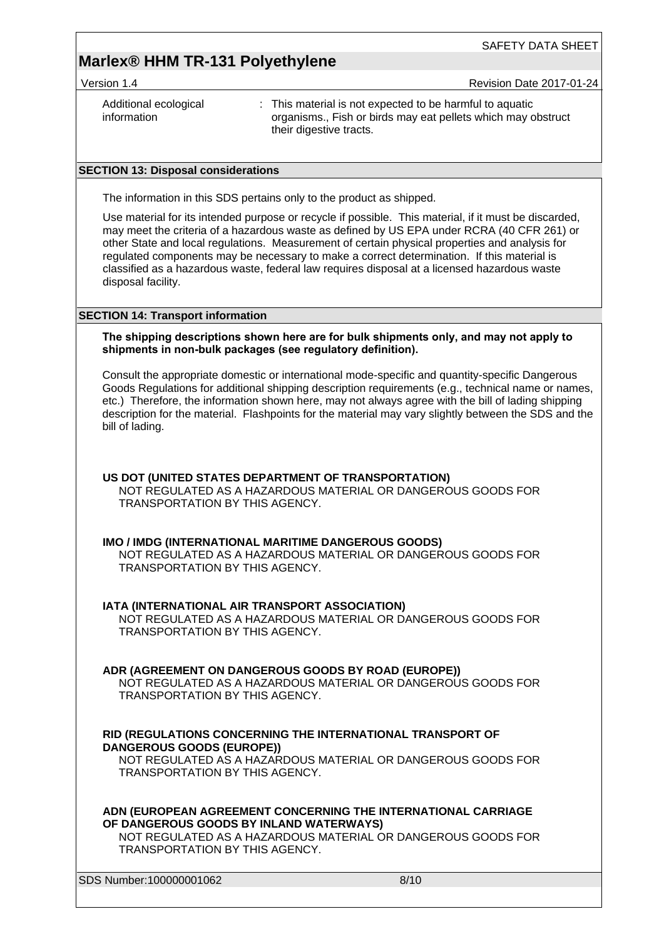### **Marlex® HHM TR-131 Polyethylene**

Version 1.4 **Network 2017-01-24** Revision Date 2017-01-24

| Additional ecological | : This material is not expected to be harmful to aquatic     |
|-----------------------|--------------------------------------------------------------|
| information           | organisms., Fish or birds may eat pellets which may obstruct |
|                       | their digestive tracts.                                      |

#### **SECTION 13: Disposal considerations**

The information in this SDS pertains only to the product as shipped.

Use material for its intended purpose or recycle if possible. This material, if it must be discarded, may meet the criteria of a hazardous waste as defined by US EPA under RCRA (40 CFR 261) or other State and local regulations. Measurement of certain physical properties and analysis for regulated components may be necessary to make a correct determination. If this material is classified as a hazardous waste, federal law requires disposal at a licensed hazardous waste disposal facility.

#### **SECTION 14: Transport information**

#### **The shipping descriptions shown here are for bulk shipments only, and may not apply to shipments in non-bulk packages (see regulatory definition).**

Consult the appropriate domestic or international mode-specific and quantity-specific Dangerous Goods Regulations for additional shipping description requirements (e.g., technical name or names, etc.) Therefore, the information shown here, may not always agree with the bill of lading shipping description for the material. Flashpoints for the material may vary slightly between the SDS and the bill of lading.

#### **US DOT (UNITED STATES DEPARTMENT OF TRANSPORTATION)**

NOT REGULATED AS A HAZARDOUS MATERIAL OR DANGEROUS GOODS FOR TRANSPORTATION BY THIS AGENCY.

#### **IMO / IMDG (INTERNATIONAL MARITIME DANGEROUS GOODS)**

NOT REGULATED AS A HAZARDOUS MATERIAL OR DANGEROUS GOODS FOR TRANSPORTATION BY THIS AGENCY.

#### **IATA (INTERNATIONAL AIR TRANSPORT ASSOCIATION)**

NOT REGULATED AS A HAZARDOUS MATERIAL OR DANGEROUS GOODS FOR TRANSPORTATION BY THIS AGENCY.

#### **ADR (AGREEMENT ON DANGEROUS GOODS BY ROAD (EUROPE))**

NOT REGULATED AS A HAZARDOUS MATERIAL OR DANGEROUS GOODS FOR TRANSPORTATION BY THIS AGENCY.

#### **RID (REGULATIONS CONCERNING THE INTERNATIONAL TRANSPORT OF DANGEROUS GOODS (EUROPE))**

NOT REGULATED AS A HAZARDOUS MATERIAL OR DANGEROUS GOODS FOR TRANSPORTATION BY THIS AGENCY.

**ADN (EUROPEAN AGREEMENT CONCERNING THE INTERNATIONAL CARRIAGE OF DANGEROUS GOODS BY INLAND WATERWAYS)**

NOT REGULATED AS A HAZARDOUS MATERIAL OR DANGEROUS GOODS FOR TRANSPORTATION BY THIS AGENCY.

SDS Number:100000001062 8/10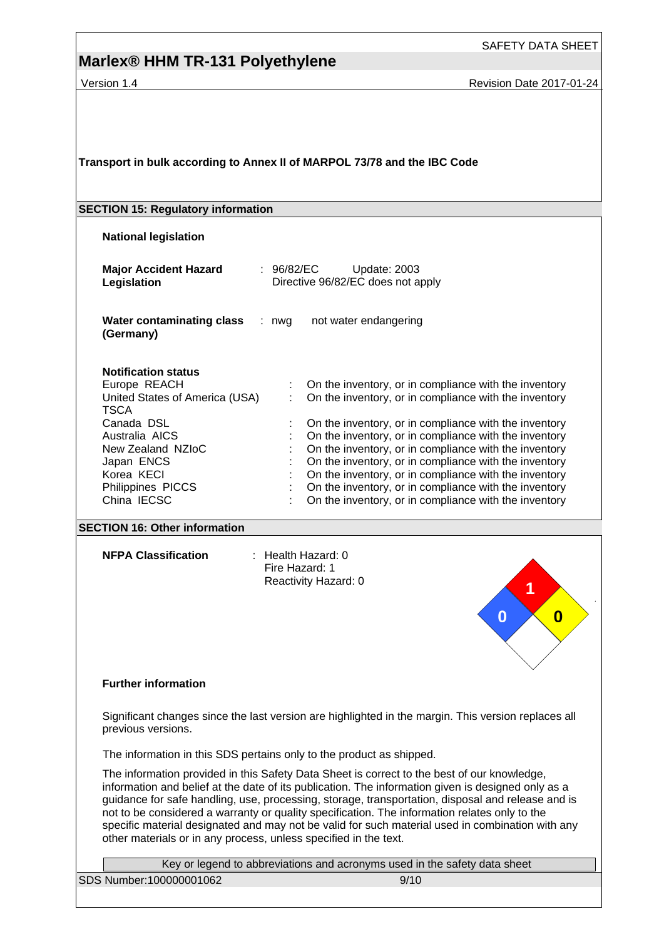### **Marlex® HHM TR-131 Polyethylene**

SAFETY DATA SHEET

Version 1.4 **Version 1.4** Revision Date 2017-01-24

**Transport in bulk according to Annex II of MARPOL 73/78 and the IBC Code**

#### **SECTION 15: Regulatory information**

**National legislation**

| <b>Major Accident Hazard</b><br>Legislation                                                                                                                                                                      | : 96/82/EC<br>Update: 2003<br>Directive 96/82/EC does not apply                                                                                                                                                                                                                                                                                                                                                                                                                                                                    |
|------------------------------------------------------------------------------------------------------------------------------------------------------------------------------------------------------------------|------------------------------------------------------------------------------------------------------------------------------------------------------------------------------------------------------------------------------------------------------------------------------------------------------------------------------------------------------------------------------------------------------------------------------------------------------------------------------------------------------------------------------------|
| Water contaminating class<br>(Germany)                                                                                                                                                                           | not water endangering<br>: nwa                                                                                                                                                                                                                                                                                                                                                                                                                                                                                                     |
| <b>Notification status</b><br>Europe REACH<br>United States of America (USA)<br><b>TSCA</b><br>Canada DSL<br>Australia AICS<br>New Zealand NZIoC<br>Japan ENCS<br>Korea KECI<br>Philippines PICCS<br>China IECSC | On the inventory, or in compliance with the inventory<br>On the inventory, or in compliance with the inventory<br>÷<br>On the inventory, or in compliance with the inventory<br>On the inventory, or in compliance with the inventory<br>On the inventory, or in compliance with the inventory<br>On the inventory, or in compliance with the inventory<br>On the inventory, or in compliance with the inventory<br>On the inventory, or in compliance with the inventory<br>On the inventory, or in compliance with the inventory |

#### **SECTION 16: Other information**

**NFPA Classification** : Health Hazard: 0

Fire Hazard: 1 Reactivity Hazard: 0



#### **Further information**

Significant changes since the last version are highlighted in the margin. This version replaces all previous versions.

The information in this SDS pertains only to the product as shipped.

The information provided in this Safety Data Sheet is correct to the best of our knowledge, information and belief at the date of its publication. The information given is designed only as a guidance for safe handling, use, processing, storage, transportation, disposal and release and is not to be considered a warranty or quality specification. The information relates only to the specific material designated and may not be valid for such material used in combination with any other materials or in any process, unless specified in the text.

| Key or legend to abbreviations and acronyms used in the safety data sheet |      |  |  |  |
|---------------------------------------------------------------------------|------|--|--|--|
| SDS Number:100000001062                                                   | 9/10 |  |  |  |
|                                                                           |      |  |  |  |